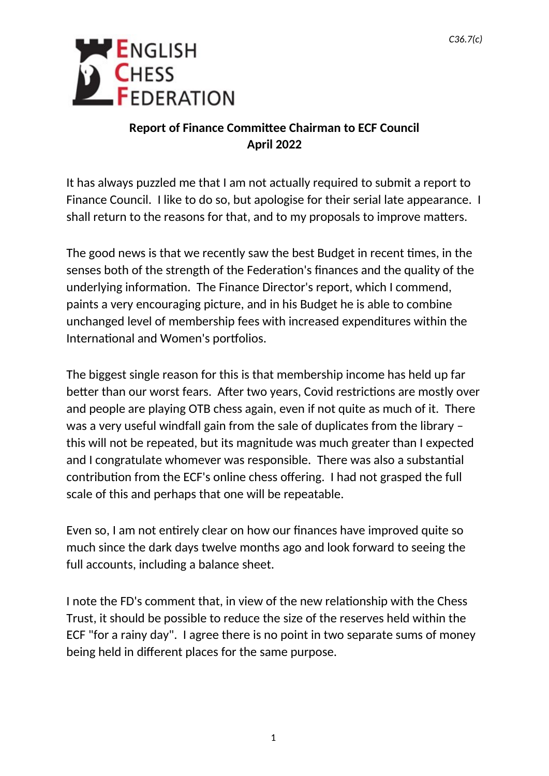

## **Report of Finance Committee Chairman to ECF Council April 2022**

It has always puzzled me that I am not actually required to submit a report to Finance Council. I like to do so, but apologise for their serial late appearance. I shall return to the reasons for that, and to my proposals to improve matters.

The good news is that we recently saw the best Budget in recent times, in the senses both of the strength of the Federation's finances and the quality of the underlying information. The Finance Director's report, which I commend, paints a very encouraging picture, and in his Budget he is able to combine unchanged level of membership fees with increased expenditures within the International and Women's portfolios.

The biggest single reason for this is that membership income has held up far better than our worst fears. After two years, Covid restrictions are mostly over and people are playing OTB chess again, even if not quite as much of it. There was a very useful windfall gain from the sale of duplicates from the library – this will not be repeated, but its magnitude was much greater than I expected and I congratulate whomever was responsible. There was also a substantial contribution from the ECF's online chess offering. I had not grasped the full scale of this and perhaps that one will be repeatable.

Even so, I am not entirely clear on how our finances have improved quite so much since the dark days twelve months ago and look forward to seeing the full accounts, including a balance sheet.

I note the FD's comment that, in view of the new relationship with the Chess Trust, it should be possible to reduce the size of the reserves held within the ECF "for a rainy day". I agree there is no point in two separate sums of money being held in different places for the same purpose.